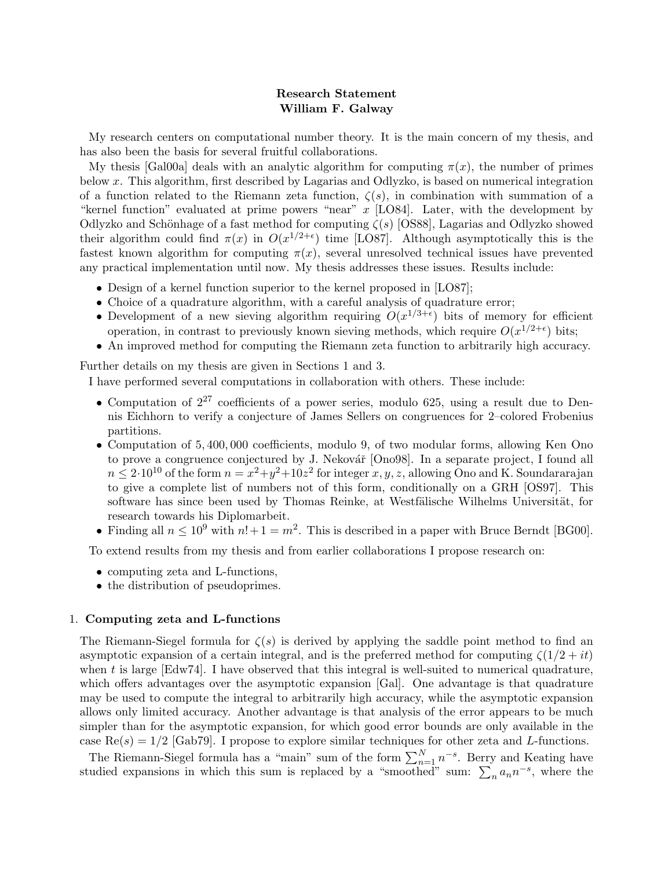# Research Statement William F. Galway

My research centers on computational number theory. It is the main concern of my thesis, and has also been the basis for several fruitful collaborations.

Mythesis [[Gal00a](#page-3-0)] deals with an analytic algorithm for computing  $\pi(x)$ , the number of primes below x. This algorithm, first described by Lagarias and Odlyzko, is based on numerical integration of a function related to the Riemann zeta function,  $\zeta(s)$ , in combination with summation of a "kernel function" evaluated at prime powers "near" x [[LO84\]](#page-3-1). Later, with the development by Odlyzko and Schönhage of a fast method for computing  $\zeta(s)$  [\[OS88\]](#page-3-2), Lagarias and Odlyzko showed theiralgorithm could find  $\pi(x)$  in  $O(x^{1/2+\epsilon})$  time [[LO87\]](#page-3-3). Although asymptotically this is the fastest known algorithm for computing  $\pi(x)$ , several unresolved technical issues have prevented any practical implementation until now. My thesis addresses these issues. Results include:

- •Design of a kernel function superior to the kernel proposed in [[LO87](#page-3-3)];
- Choice of a quadrature algorithm, with a careful analysis of quadrature error;
- Development of a new sieving algorithm requiring  $O(x^{1/3+\epsilon})$  bits of memory for efficient operation, in contrast to previously known sieving methods, which require  $O(x^{1/2+\epsilon})$  bits;
- An improved method for computing the Riemann zeta function to arbitrarily high accuracy.

Further details on my thesis are given in Sections [1](#page-0-0) and [3](#page-1-0).

I have performed several computations in collaboration with others. These include:

- Computation of  $2^{27}$  coefficients of a power series, modulo 625, using a result due to Dennis Eichhorn to verify a conjecture of James Sellers on congruences for 2–colored Frobenius partitions.
- Computation of 5, 400, 000 coefficients, modulo 9, of two modular forms, allowing Ken Ono to prove a congruence conjectured by J. Nekovář  $[Ono98]$ . In a separate project, I found all  $n \leq 2 \cdot 10^{10}$  of the form  $n = x^2 + y^2 + 10z^2$  for integer  $x, y, z$ , allowing Ono and K. Soundararajan to give a complete list of numbers not of this form, conditionally on a GRH [\[OS97\]](#page-3-5). This software has since been used by Thomas Reinke, at Westfälische Wilhelms Universität, for research towards his Diplomarbeit.
- Finding all  $n \leq 10^9$  with  $n!+1 = m^2$ . This is described in a paper with Bruce Berndt [\[BG00\]](#page-3-6).

To extend results from my thesis and from earlier collaborations I propose research on:

- computing zeta and L-functions,
- the distribution of pseudoprimes.

## <span id="page-0-0"></span>1. Computing zeta and L-functions

The Riemann-Siegel formula for  $\zeta(s)$  is derived by applying the saddle point method to find an asymptotic expansion of a certain integral, and is the preferred method for computing  $\zeta(1/2 + it)$ whent is large  $[Edw74]$  $[Edw74]$  $[Edw74]$ . I have observed that this integral is well-suited to numerical quadrature, which offers advantages over the asymptotic expansion[[Gal\]](#page-3-8). One advantage is that quadrature may be used to compute the integral to arbitrarily high accuracy, while the asymptotic expansion allows only limited accuracy. Another advantage is that analysis of the error appears to be much simpler than for the asymptotic expansion, for which good error bounds are only available in the case $\text{Re}(s) = 1/2$  [[Gab79\]](#page-3-9). I propose to explore similar techniques for other zeta and L-functions.

The Riemann-Siegel formula has a "main" sum of the form  $\sum_{n=1}^{N} n^{-s}$ . Berry and Keating have studied expansions in which this sum is replaced by a "smoothed" sum:  $\sum_{n=1}^{\infty} a_n n^{-s}$ , where the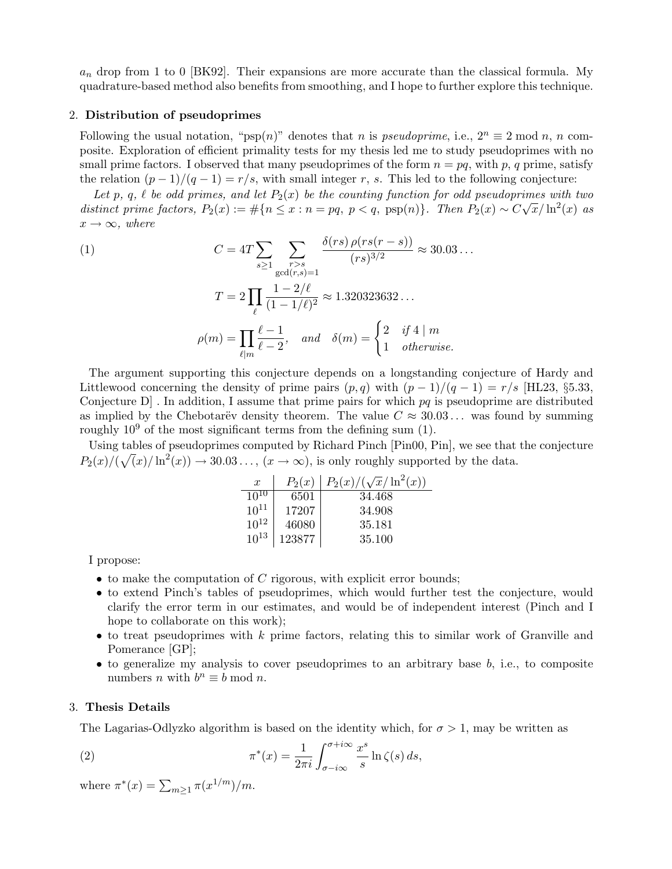$a_n$  drop from 1 to 0 [\[BK92](#page-3-10)]. Their expansions are more accurate than the classical formula. My quadrature-based method also benefits from smoothing, and I hope to further explore this technique.

#### 2. Distribution of pseudoprimes

Following the usual notation, "psp(n)" denotes that n is pseudoprime, i.e.,  $2^n \equiv 2 \mod n$ , n composite. Exploration of efficient primality tests for my thesis led me to study pseudoprimes with no small prime factors. I observed that many pseudoprimes of the form  $n = pq$ , with p, q prime, satisfy the relation  $(p-1)/(q-1) = r/s$ , with small integer r, s. This led to the following conjecture:

Let p, q,  $\ell$  be odd primes, and let  $P_2(x)$  be the counting function for odd pseudoprimes with two distinct prime factors,  $P_2(x) := \#\{n \leq x : n = pq, p < q, \text{psp}(n)\}\$ . Then  $P_2(x) \sim C\sqrt{x}/\ln^2(x)$  as  $x \rightarrow \infty$ , where

<span id="page-1-1"></span>(1)  
\n
$$
C = 4T \sum_{s \ge 1} \sum_{\substack{r>s \ \gcd(r,s)=1}} \frac{\delta(rs) \rho(rs(r-s))}{(rs)^{3/2}} \approx 30.03...
$$
\n
$$
T = 2 \prod_{\ell} \frac{1 - 2/\ell}{(1 - 1/\ell)^2} \approx 1.320323632...
$$
\n
$$
\rho(m) = \prod_{\ell \mid m} \frac{\ell - 1}{\ell - 2}, \quad and \quad \delta(m) = \begin{cases} 2 & \text{if } 4 \mid m \\ 1 & \text{otherwise.} \end{cases}
$$

The argument supporting this conjecture depends on a longstanding conjecture of Hardy and Littlewood concerning the density of prime pairs  $(p,q)$  with  $(p-1)/(q-1) = r/s$  [[HL23,](#page-3-11) §5.33, Conjecture  $D$ . In addition, I assume that prime pairs for which  $pq$  is pseudoprime are distributed as implied by the Chebotarëv density theorem. The value  $C \approx 30.03...$  was found by summing roughly  $10^9$  of the most significant terms from the defining sum [\(1](#page-1-1)).

Using tables of pseudoprimes computed by Richard Pinch[[Pin00](#page-3-12), [Pin\]](#page-3-13), we see that the conjecture  $P_2(x)/(\sqrt(x)/\ln^2(x)) \to 30.03...$ ,  $(x \to \infty)$ , is only roughly supported by the data. √

| $\boldsymbol{x}$ | $P_2(x)$ | $P_2(x)/(\sqrt{x}/\ln^2(x))$ |
|------------------|----------|------------------------------|
| $10^{10}$        | 6501     | 34.468                       |
| $10^{11}$        | 17207    | 34.908                       |
| $10^{12}$        | 46080    | 35.181                       |
| $10^{13}$        | 123877   | 35.100                       |

I propose:

- $\bullet$  to make the computation of C rigorous, with explicit error bounds;
- to extend Pinch's tables of pseudoprimes, which would further test the conjecture, would clarify the error term in our estimates, and would be of independent interest (Pinch and I hope to collaborate on this work);
- to treat pseudoprimes with  $k$  prime factors, relating this to similar work of Granville and Pomerance[[GP\]](#page-3-14);
- $\bullet$  to generalize my analysis to cover pseudoprimes to an arbitrary base  $b$ , i.e., to composite numbers *n* with  $b^n \equiv b \mod n$ .

### <span id="page-1-0"></span>3. Thesis Details

The Lagarias-Odlyzko algorithm is based on the identity which, for  $\sigma > 1$ , may be written as

(2) 
$$
\pi^*(x) = \frac{1}{2\pi i} \int_{\sigma - i\infty}^{\sigma + i\infty} \frac{x^s}{s} \ln \zeta(s) ds,
$$

<span id="page-1-2"></span>where  $\pi^*(x) = \sum_{m \geq 1} \pi(x^{1/m})/m$ .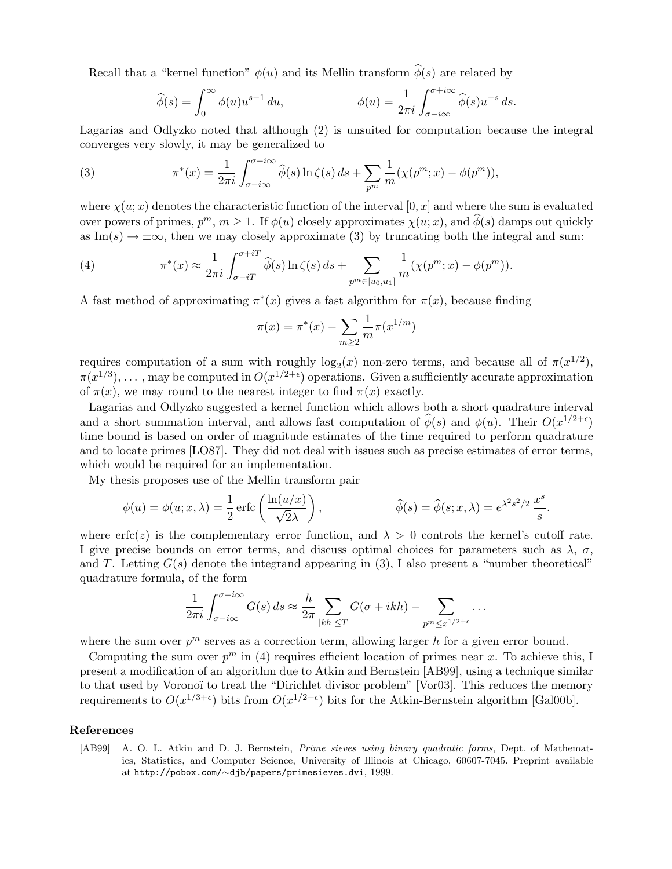Recall that a "kernel function"  $\phi(u)$  and its Mellin transform  $\hat{\phi}(s)$  are related by

$$
\widehat{\phi}(s) = \int_0^\infty \phi(u) u^{s-1} du, \qquad \phi(u) = \frac{1}{2\pi i} \int_{\sigma - i\infty}^{\sigma + i\infty} \widehat{\phi}(s) u^{-s} ds.
$$

Lagarias and Odlyzko noted that although([2](#page-1-2)) is unsuited for computation because the integral converges very slowly, it may be generalized to

<span id="page-2-0"></span>(3) 
$$
\pi^*(x) = \frac{1}{2\pi i} \int_{\sigma - i\infty}^{\sigma + i\infty} \widehat{\phi}(s) \ln \zeta(s) ds + \sum_{p^m} \frac{1}{m} (\chi(p^m; x) - \phi(p^m)),
$$

where  $\chi(u; x)$  denotes the characteristic function of the interval [0, x] and where the sum is evaluated over powers of primes,  $p^m$ ,  $m \ge 1$ . If  $\phi(u)$  closely approximates  $\chi(u; x)$ , and  $\hat{\phi}(s)$  damps out quickly as Im(s)  $\rightarrow \pm \infty$ , then we may closely approximate [\(3\)](#page-2-0) by truncating both the integral and sum:

<span id="page-2-1"></span>(4) 
$$
\pi^*(x) \approx \frac{1}{2\pi i} \int_{\sigma - iT}^{\sigma + iT} \widehat{\phi}(s) \ln \zeta(s) \, ds + \sum_{p^m \in [u_0, u_1]} \frac{1}{m} (\chi(p^m; x) - \phi(p^m)).
$$

A fast method of approximating  $\pi^*(x)$  gives a fast algorithm for  $\pi(x)$ , because finding

$$
\pi(x) = \pi^*(x) - \sum_{m \ge 2} \frac{1}{m} \pi(x^{1/m})
$$

requires computation of a sum with roughly  $log_2(x)$  non-zero terms, and because all of  $\pi(x^{1/2})$ ,  $\pi(x^{1/3}), \ldots$  , may be computed in  $O(x^{1/2+\epsilon})$  operations. Given a sufficiently accurate approximation of  $\pi(x)$ , we may round to the nearest integer to find  $\pi(x)$  exactly.

Lagarias and Odlyzko suggested a kernel function which allows both a short quadrature interval and a short summation interval, and allows fast computation of  $\hat{\phi}(s)$  and  $\phi(u)$ . Their  $O(x^{1/2+\epsilon})$ time bound is based on order of magnitude estimates of the time required to perform quadrature and to locate primes [\[LO87](#page-3-3)]. They did not deal with issues such as precise estimates of error terms, which would be required for an implementation.

My thesis proposes use of the Mellin transform pair

$$
\phi(u) = \phi(u; x, \lambda) = \frac{1}{2} \operatorname{erfc} \left( \frac{\ln(u/x)}{\sqrt{2\lambda}} \right), \qquad \widehat{\phi}(s) = \widehat{\phi}(s; x, \lambda) = e^{\lambda^2 s^2/2} \frac{x^s}{s}.
$$

where erfc(z) is the complementary error function, and  $\lambda > 0$  controls the kernel's cutoff rate. I give precise bounds on error terms, and discuss optimal choices for parameters such as  $\lambda$ ,  $\sigma$ , andT. Letting  $G(s)$  denote the integrand appearing in ([3](#page-2-0)), I also present a "number theoretical" quadrature formula, of the form

$$
\frac{1}{2\pi i} \int_{\sigma - i\infty}^{\sigma + i\infty} G(s) \, ds \approx \frac{h}{2\pi} \sum_{|kh| \leq T} G(\sigma + ikh) - \sum_{p^m \leq x^{1/2 + \epsilon}} \dots
$$

where the sum over  $p^m$  serves as a correction term, allowing larger h for a given error bound.

Computingthe sum over  $p^m$  in ([4](#page-2-1)) requires efficient location of primes near x. To achieve this, I present a modification of an algorithm due to Atkin and Bernstein [\[AB99](#page-2-2)], using a technique similar to that used by Voronoï to treat the "Dirichlet divisor problem" [\[Vor03\]](#page-3-15). This reduces the memory requirementsto  $O(x^{1/3+\epsilon})$  bits from  $O(x^{1/2+\epsilon})$  bits for the Atkin-Bernstein algorithm [[Gal00b\]](#page-3-16).

# References

<span id="page-2-2"></span>[AB99] A. O. L. Atkin and D. J. Bernstein, Prime sieves using binary quadratic forms, Dept. of Mathematics, Statistics, and Computer Science, University of Illinois at Chicago, 60607-7045. Preprint available at http://pobox.com/∼[djb/papers/primesieves.dvi](http://pobox.com/~djb/papers/primesieves.dvi), 1999.